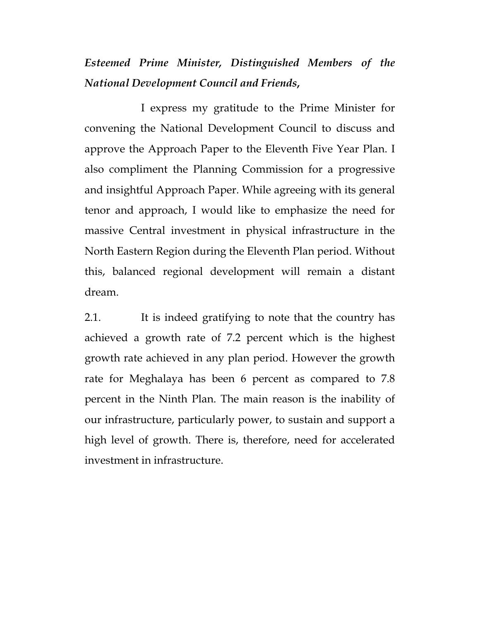## *Esteemed Prime Minister, Distinguished Members of the National Development Council and Friends***,**

I express my gratitude to the Prime Minister for convening the National Development Council to discuss and approve the Approach Paper to the Eleventh Five Year Plan. I also compliment the Planning Commission for a progressive and insightful Approach Paper. While agreeing with its general tenor and approach, I would like to emphasize the need for massive Central investment in physical infrastructure in the North Eastern Region during the Eleventh Plan period. Without this, balanced regional development will remain a distant dream.

2.1. It is indeed gratifying to note that the country has achieved a growth rate of 7.2 percent which is the highest growth rate achieved in any plan period. However the growth rate for Meghalaya has been 6 percent as compared to 7.8 percent in the Ninth Plan. The main reason is the inability of our infrastructure, particularly power, to sustain and support a high level of growth. There is, therefore, need for accelerated investment in infrastructure.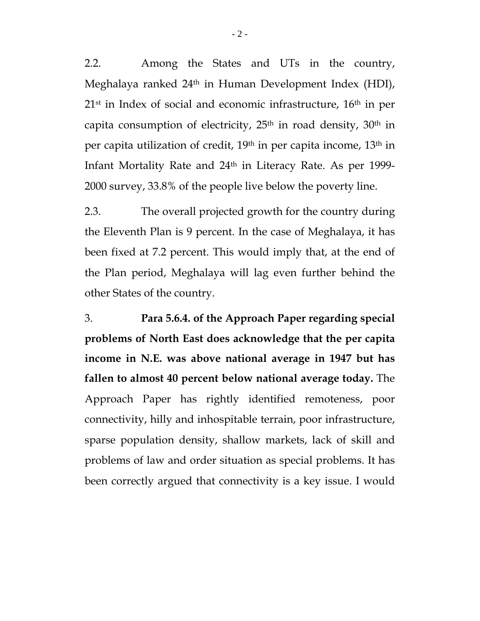2.2. Among the States and UTs in the country, Meghalaya ranked 24th in Human Development Index (HDI), 21st in Index of social and economic infrastructure, 16th in per capita consumption of electricity,  $25<sup>th</sup>$  in road density,  $30<sup>th</sup>$  in per capita utilization of credit, 19th in per capita income, 13th in Infant Mortality Rate and 24th in Literacy Rate. As per 1999- 2000 survey, 33.8% of the people live below the poverty line.

2.3. The overall projected growth for the country during the Eleventh Plan is 9 percent. In the case of Meghalaya, it has been fixed at 7.2 percent. This would imply that, at the end of the Plan period, Meghalaya will lag even further behind the other States of the country.

3. **Para 5.6.4. of the Approach Paper regarding special problems of North East does acknowledge that the per capita income in N.E. was above national average in 1947 but has fallen to almost 40 percent below national average today.** The Approach Paper has rightly identified remoteness, poor connectivity, hilly and inhospitable terrain, poor infrastructure, sparse population density, shallow markets, lack of skill and problems of law and order situation as special problems. It has been correctly argued that connectivity is a key issue. I would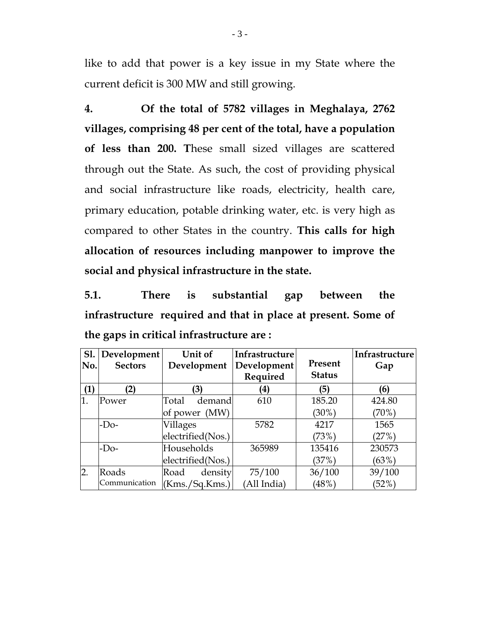like to add that power is a key issue in my State where the current deficit is 300 MW and still growing.

**4. Of the total of 5782 villages in Meghalaya, 2762 villages, comprising 48 per cent of the total, have a population of less than 200. T**hese small sized villages are scattered through out the State. As such, the cost of providing physical and social infrastructure like roads, electricity, health care, primary education, potable drinking water, etc. is very high as compared to other States in the country. **This calls for high allocation of resources including manpower to improve the social and physical infrastructure in the state.** 

**5.1. There is substantial gap between the infrastructure required and that in place at present. Some of the gaps in critical infrastructure are :** 

| <b>S1.</b>       | Development    | Unit of           | Infrastructure |               | Infrastructure |
|------------------|----------------|-------------------|----------------|---------------|----------------|
| No.              | <b>Sectors</b> | Development       | Development    | Present       | Gap            |
|                  |                |                   | Required       | <b>Status</b> |                |
| (1)              | (2)            | (3)               | $\bf (4)$      | (5)           | (6)            |
| $\overline{1}$ . | Power          | Total<br>demand   | 610            | 185.20        | 424.80         |
|                  |                | of power (MW)     |                | $(30\%)$      | (70%)          |
|                  | $-Do-$         | Villages          | 5782           | 4217          | 1565           |
|                  |                | electrified(Nos.) |                | (73%)         | (27%)          |
|                  | $-Do-$         | Households        | 365989         | 135416        | 230573         |
|                  |                | electrified(Nos.) |                | (37%)         | (63%)          |
| $\overline{2}$ . | Roads          | density<br>Road   | 75/100         | 36/100        | 39/100         |
|                  | Communication  | (Kms./Sq.Kms.)    | (All India)    | (48%)         | (52%)          |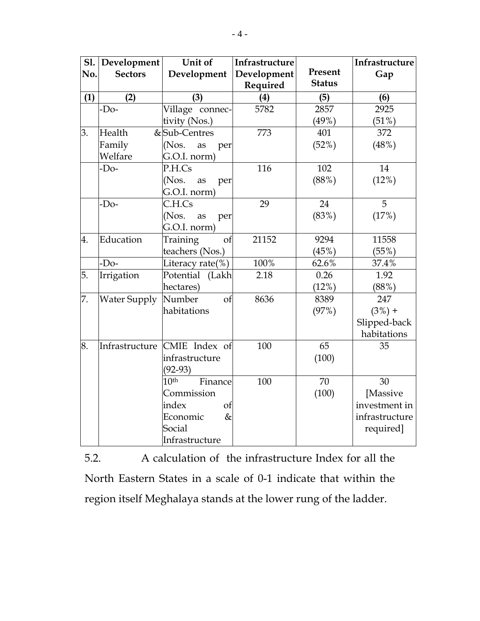| <b>S1.</b> | Development         | Unit of                      | Infrastructure |               | Infrastructure |
|------------|---------------------|------------------------------|----------------|---------------|----------------|
| No.        | <b>Sectors</b>      | Development                  | Development    | Present       | Gap            |
|            |                     |                              | Required       | <b>Status</b> |                |
| (1)        | (2)                 | (3)                          | (4)            | (5)           | (6)            |
|            | $-Do-$              | Village connec-              | 5782           | 2857          | 2925           |
|            |                     | tivity (Nos.)                |                | (49%)         | (51%)          |
| 3.         | Health              | &Sub-Centres                 | 773            | 401           | 372            |
|            | Family              | (Nos.<br>as<br>per           |                | (52%)         | (48%)          |
|            | Welfare             | G.O.I. norm)                 |                |               |                |
|            | $-D0$               | P.H.Cs                       | 116            | 102           | 14             |
|            |                     | (Nos.<br>as<br>per           |                | (88%)         | (12%)          |
|            |                     | G.O.I. norm)                 |                |               |                |
|            | $-Do-$              | C.H.Cs                       | 29             | 24            | 5              |
|            |                     | (Nos.<br>as<br>per           |                | (83%)         | (17%)          |
|            |                     | G.O.I. norm)                 |                |               |                |
| 4.         | Education           | Training<br>of               | 21152          | 9294          | 11558          |
|            |                     | teachers (Nos.)              |                | (45%)         | (55%)          |
|            | $-Do-$              | Literacy rate(%)             | 100%           | 62.6%         | 37.4%          |
| 5.         | Irrigation          | Potential (Lakh              | 2.18           | 0.26          | 1.92           |
|            |                     | hectares)                    |                | (12%)         | (88%)          |
| 7.         | <b>Water Supply</b> | Number<br>of                 | 8636           | 8389          | 247            |
|            |                     | habitations                  |                | (97%)         | $(3%) +$       |
|            |                     |                              |                |               | Slipped-back   |
|            |                     |                              |                |               | habitations    |
| 8.         |                     | Infrastructure CMIE Index of | 100            | 65            | 35             |
|            |                     | infrastructure               |                | (100)         |                |
|            |                     | $(92-93)$                    |                |               |                |
|            |                     | 10 <sup>th</sup><br>Finance  | 100            | 70            | 30             |
|            |                     | Commission                   |                | (100)         | [Massive       |
|            |                     | index<br>of                  |                |               | investment in  |
|            |                     | $\&$<br>Economic             |                |               | infrastructure |
|            |                     | Social                       |                |               | required]      |
|            |                     | Infrastructure               |                |               |                |

5.2. A calculation of the infrastructure Index for all the North Eastern States in a scale of 0-1 indicate that within the region itself Meghalaya stands at the lower rung of the ladder.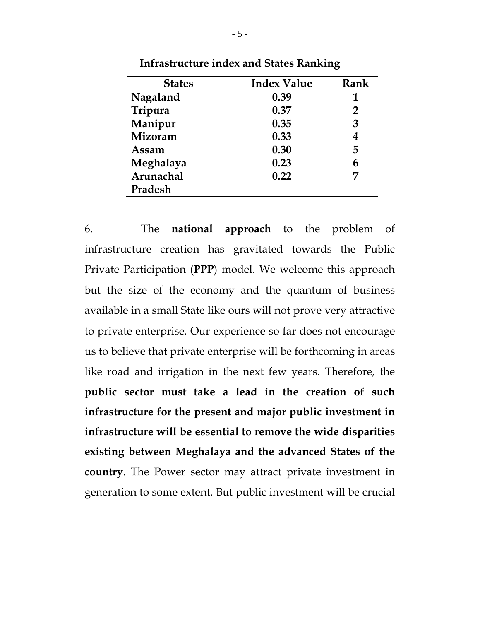| <b>States</b> | <b>Index Value</b> | Rank           |
|---------------|--------------------|----------------|
| Nagaland      | 0.39               | 1              |
| Tripura       | 0.37               | $\overline{2}$ |
| Manipur       | 0.35               | 3              |
| Mizoram       | 0.33               | 4              |
| Assam         | 0.30               | 5              |
| Meghalaya     | 0.23               | 6              |
| Arunachal     | 0.22               | 7              |
| Pradesh       |                    |                |

**Infrastructure index and States Ranking** 

6. The **national approach** to the problem of infrastructure creation has gravitated towards the Public Private Participation (**PPP**) model. We welcome this approach but the size of the economy and the quantum of business available in a small State like ours will not prove very attractive to private enterprise. Our experience so far does not encourage us to believe that private enterprise will be forthcoming in areas like road and irrigation in the next few years. Therefore, the **public sector must take a lead in the creation of such infrastructure for the present and major public investment in infrastructure will be essential to remove the wide disparities existing between Meghalaya and the advanced States of the country**. The Power sector may attract private investment in generation to some extent. But public investment will be crucial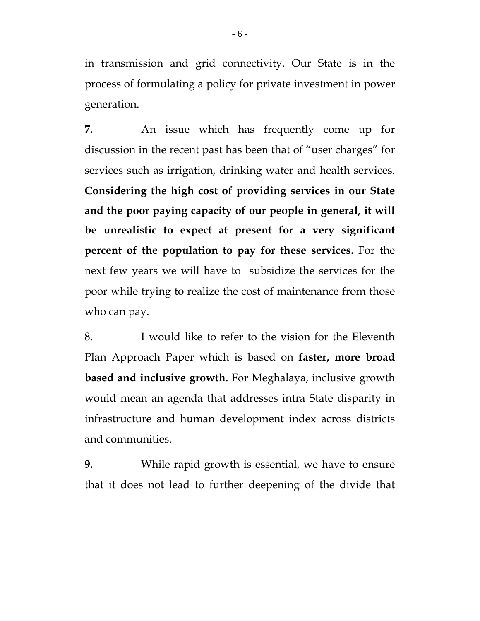in transmission and grid connectivity. Our State is in the process of formulating a policy for private investment in power generation.

**7.** An issue which has frequently come up for discussion in the recent past has been that of "user charges" for services such as irrigation, drinking water and health services. **Considering the high cost of providing services in our State and the poor paying capacity of our people in general, it will be unrealistic to expect at present for a very significant percent of the population to pay for these services.** For the next few years we will have to subsidize the services for the poor while trying to realize the cost of maintenance from those who can pay.

8. I would like to refer to the vision for the Eleventh Plan Approach Paper which is based on **faster, more broad based and inclusive growth.** For Meghalaya, inclusive growth would mean an agenda that addresses intra State disparity in infrastructure and human development index across districts and communities.

**9.** While rapid growth is essential, we have to ensure that it does not lead to further deepening of the divide that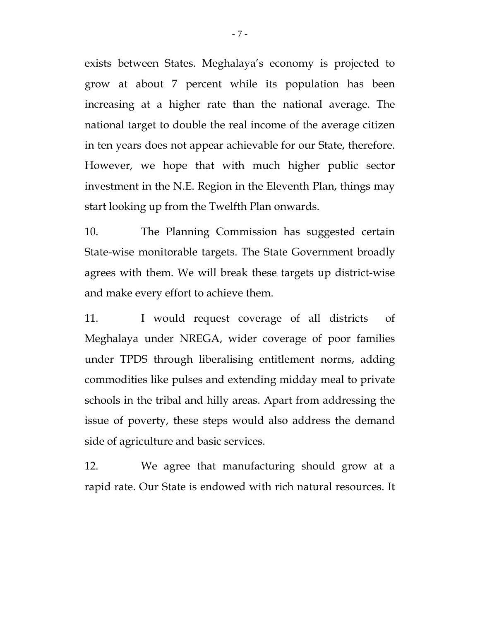exists between States. Meghalaya's economy is projected to grow at about 7 percent while its population has been increasing at a higher rate than the national average. The national target to double the real income of the average citizen in ten years does not appear achievable for our State, therefore. However, we hope that with much higher public sector investment in the N.E. Region in the Eleventh Plan, things may start looking up from the Twelfth Plan onwards.

10. The Planning Commission has suggested certain State-wise monitorable targets. The State Government broadly agrees with them. We will break these targets up district-wise and make every effort to achieve them.

11. I would request coverage of all districts of Meghalaya under NREGA, wider coverage of poor families under TPDS through liberalising entitlement norms, adding commodities like pulses and extending midday meal to private schools in the tribal and hilly areas. Apart from addressing the issue of poverty, these steps would also address the demand side of agriculture and basic services.

12. We agree that manufacturing should grow at a rapid rate. Our State is endowed with rich natural resources. It

- 7 -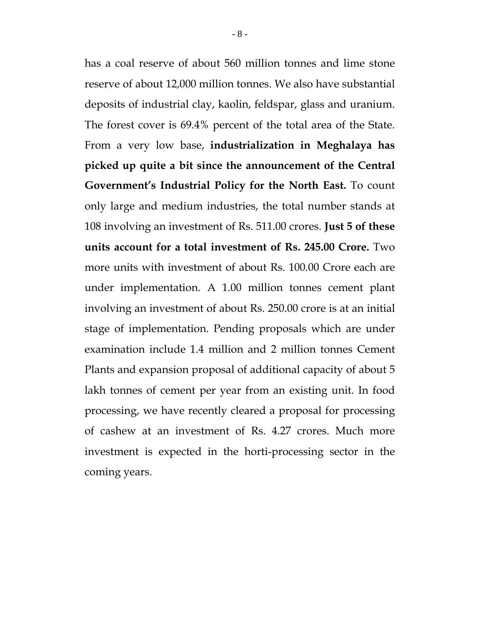has a coal reserve of about 560 million tonnes and lime stone reserve of about 12,000 million tonnes. We also have substantial deposits of industrial clay, kaolin, feldspar, glass and uranium. The forest cover is 69.4% percent of the total area of the State. From a very low base, **industrialization in Meghalaya has picked up quite a bit since the announcement of the Central Government's Industrial Policy for the North East.** To count only large and medium industries, the total number stands at 108 involving an investment of Rs. 511.00 crores. **Just 5 of these units account for a total investment of Rs. 245.00 Crore.** Two more units with investment of about Rs. 100.00 Crore each are under implementation. A 1.00 million tonnes cement plant involving an investment of about Rs. 250.00 crore is at an initial stage of implementation. Pending proposals which are under examination include 1.4 million and 2 million tonnes Cement Plants and expansion proposal of additional capacity of about 5 lakh tonnes of cement per year from an existing unit. In food processing, we have recently cleared a proposal for processing of cashew at an investment of Rs. 4.27 crores. Much more investment is expected in the horti-processing sector in the coming years.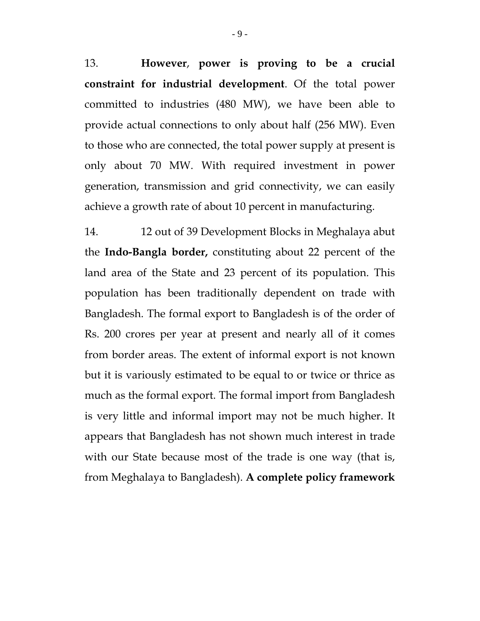13. **However**, **power is proving to be a crucial constraint for industrial development**. Of the total power committed to industries (480 MW), we have been able to provide actual connections to only about half (256 MW). Even to those who are connected, the total power supply at present is only about 70 MW. With required investment in power generation, transmission and grid connectivity, we can easily achieve a growth rate of about 10 percent in manufacturing.

14. 12 out of 39 Development Blocks in Meghalaya abut the **Indo-Bangla border,** constituting about 22 percent of the land area of the State and 23 percent of its population. This population has been traditionally dependent on trade with Bangladesh. The formal export to Bangladesh is of the order of Rs. 200 crores per year at present and nearly all of it comes from border areas. The extent of informal export is not known but it is variously estimated to be equal to or twice or thrice as much as the formal export. The formal import from Bangladesh is very little and informal import may not be much higher. It appears that Bangladesh has not shown much interest in trade with our State because most of the trade is one way (that is, from Meghalaya to Bangladesh). **A complete policy framework**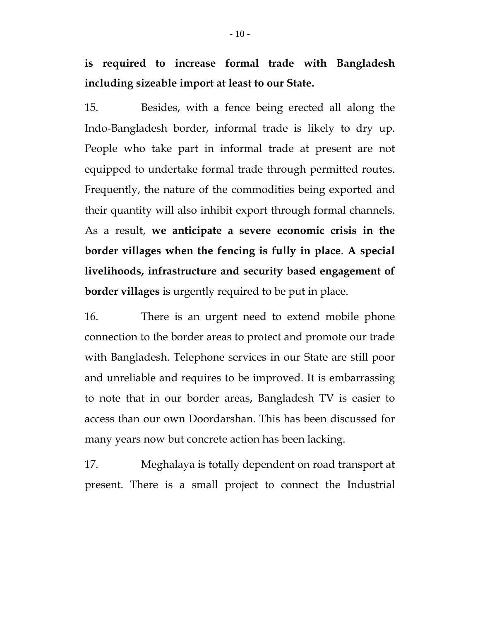## **is required to increase formal trade with Bangladesh including sizeable import at least to our State.**

15.Besides, with a fence being erected all along the Indo-Bangladesh border, informal trade is likely to dry up. People who take part in informal trade at present are not equipped to undertake formal trade through permitted routes. Frequently, the nature of the commodities being exported and their quantity will also inhibit export through formal channels. As a result, **we anticipate a severe economic crisis in the border villages when the fencing is fully in place**. **A special livelihoods, infrastructure and security based engagement of border villages** is urgently required to be put in place.

16. There is an urgent need to extend mobile phone connection to the border areas to protect and promote our trade with Bangladesh. Telephone services in our State are still poor and unreliable and requires to be improved. It is embarrassing to note that in our border areas, Bangladesh TV is easier to access than our own Doordarshan. This has been discussed for many years now but concrete action has been lacking.

17. Meghalaya is totally dependent on road transport at present. There is a small project to connect the Industrial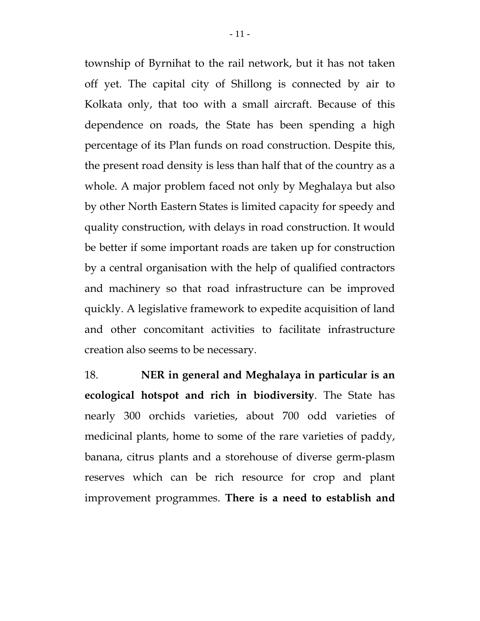township of Byrnihat to the rail network, but it has not taken off yet. The capital city of Shillong is connected by air to Kolkata only, that too with a small aircraft. Because of this dependence on roads, the State has been spending a high percentage of its Plan funds on road construction. Despite this, the present road density is less than half that of the country as a whole. A major problem faced not only by Meghalaya but also by other North Eastern States is limited capacity for speedy and quality construction, with delays in road construction. It would be better if some important roads are taken up for construction by a central organisation with the help of qualified contractors and machinery so that road infrastructure can be improved quickly. A legislative framework to expedite acquisition of land and other concomitant activities to facilitate infrastructure creation also seems to be necessary.

18. **NER in general and Meghalaya in particular is an ecological hotspot and rich in biodiversity**. The State has nearly 300 orchids varieties, about 700 odd varieties of medicinal plants, home to some of the rare varieties of paddy, banana, citrus plants and a storehouse of diverse germ-plasm reserves which can be rich resource for crop and plant improvement programmes. **There is a need to establish and**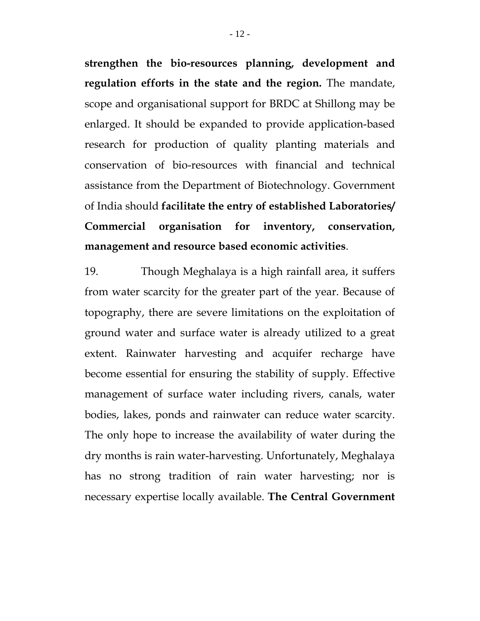**strengthen the bio-resources planning, development and regulation efforts in the state and the region.** The mandate, scope and organisational support for BRDC at Shillong may be enlarged. It should be expanded to provide application-based research for production of quality planting materials and conservation of bio-resources with financial and technical assistance from the Department of Biotechnology. Government of India should **facilitate the entry of established Laboratories/ Commercial organisation for inventory, conservation, management and resource based economic activities**.

19. Though Meghalaya is a high rainfall area, it suffers from water scarcity for the greater part of the year. Because of topography, there are severe limitations on the exploitation of ground water and surface water is already utilized to a great extent. Rainwater harvesting and acquifer recharge have become essential for ensuring the stability of supply. Effective management of surface water including rivers, canals, water bodies, lakes, ponds and rainwater can reduce water scarcity. The only hope to increase the availability of water during the dry months is rain water-harvesting. Unfortunately, Meghalaya has no strong tradition of rain water harvesting; nor is necessary expertise locally available. **The Central Government**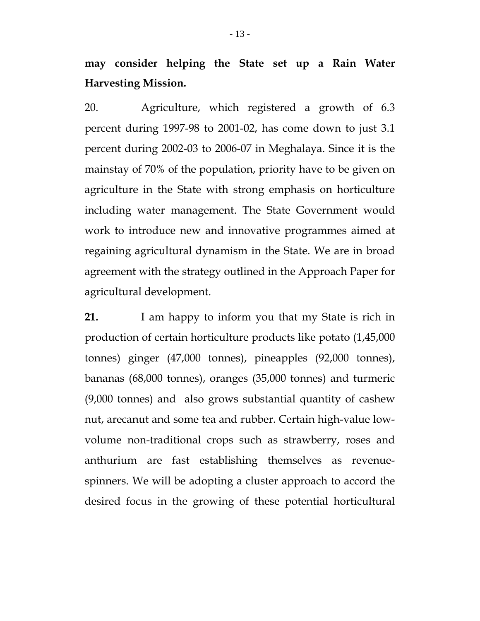**may consider helping the State set up a Rain Water Harvesting Mission.**

20. Agriculture, which registered a growth of 6.3 percent during 1997-98 to 2001-02, has come down to just 3.1 percent during 2002-03 to 2006-07 in Meghalaya. Since it is the mainstay of 70% of the population, priority have to be given on agriculture in the State with strong emphasis on horticulture including water management. The State Government would work to introduce new and innovative programmes aimed at regaining agricultural dynamism in the State. We are in broad agreement with the strategy outlined in the Approach Paper for agricultural development.

**21.** I am happy to inform you that my State is rich in production of certain horticulture products like potato (1,45,000 tonnes) ginger (47,000 tonnes), pineapples (92,000 tonnes), bananas (68,000 tonnes), oranges (35,000 tonnes) and turmeric (9,000 tonnes) and also grows substantial quantity of cashew nut, arecanut and some tea and rubber. Certain high-value lowvolume non-traditional crops such as strawberry, roses and anthurium are fast establishing themselves as revenuespinners. We will be adopting a cluster approach to accord the desired focus in the growing of these potential horticultural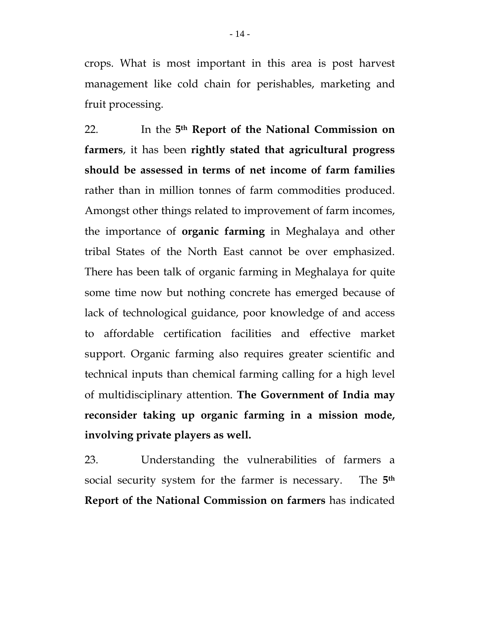crops. What is most important in this area is post harvest management like cold chain for perishables, marketing and fruit processing.

22. In the **5th Report of the National Commission on farmers**, it has been **rightly stated that agricultural progress should be assessed in terms of net income of farm families** rather than in million tonnes of farm commodities produced. Amongst other things related to improvement of farm incomes, the importance of **organic farming** in Meghalaya and other tribal States of the North East cannot be over emphasized. There has been talk of organic farming in Meghalaya for quite some time now but nothing concrete has emerged because of lack of technological guidance, poor knowledge of and access to affordable certification facilities and effective market support. Organic farming also requires greater scientific and technical inputs than chemical farming calling for a high level of multidisciplinary attention. **The Government of India may reconsider taking up organic farming in a mission mode, involving private players as well.**

23. Understanding the vulnerabilities of farmers a social security system for the farmer is necessary. The **5th Report of the National Commission on farmers** has indicated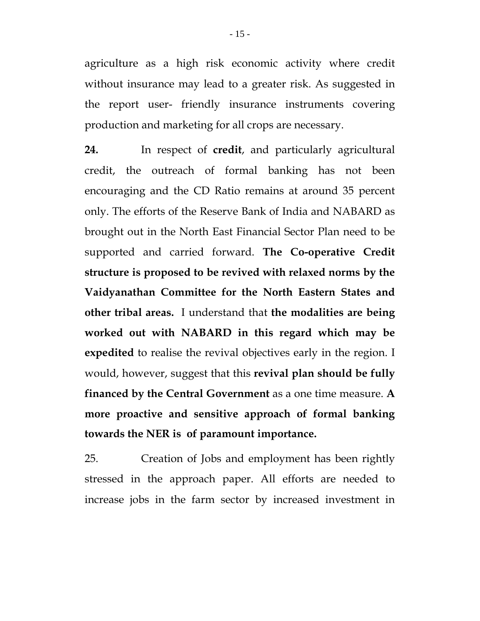agriculture as a high risk economic activity where credit without insurance may lead to a greater risk. As suggested in the report user- friendly insurance instruments covering production and marketing for all crops are necessary.

**24.** In respect of **credit**, and particularly agricultural credit, the outreach of formal banking has not been encouraging and the CD Ratio remains at around 35 percent only. The efforts of the Reserve Bank of India and NABARD as brought out in the North East Financial Sector Plan need to be supported and carried forward. **The Co-operative Credit structure is proposed to be revived with relaxed norms by the Vaidyanathan Committee for the North Eastern States and other tribal areas.** I understand that **the modalities are being worked out with NABARD in this regard which may be expedited** to realise the revival objectives early in the region. I would, however, suggest that this **revival plan should be fully financed by the Central Government** as a one time measure. **A more proactive and sensitive approach of formal banking towards the NER is of paramount importance.** 

25. Creation of Jobs and employment has been rightly stressed in the approach paper. All efforts are needed to increase jobs in the farm sector by increased investment in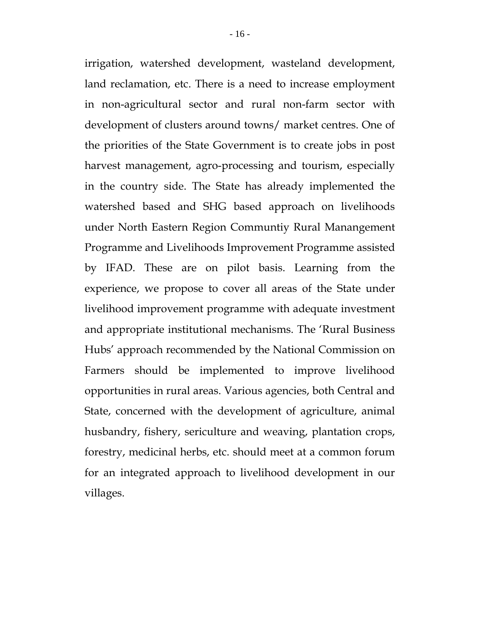irrigation, watershed development, wasteland development, land reclamation, etc. There is a need to increase employment in non-agricultural sector and rural non-farm sector with development of clusters around towns/ market centres. One of the priorities of the State Government is to create jobs in post harvest management, agro-processing and tourism, especially in the country side. The State has already implemented the watershed based and SHG based approach on livelihoods under North Eastern Region Communtiy Rural Manangement Programme and Livelihoods Improvement Programme assisted by IFAD. These are on pilot basis. Learning from the experience, we propose to cover all areas of the State under livelihood improvement programme with adequate investment and appropriate institutional mechanisms. The 'Rural Business Hubs' approach recommended by the National Commission on Farmers should be implemented to improve livelihood opportunities in rural areas. Various agencies, both Central and State, concerned with the development of agriculture, animal husbandry, fishery, sericulture and weaving, plantation crops, forestry, medicinal herbs, etc. should meet at a common forum for an integrated approach to livelihood development in our villages.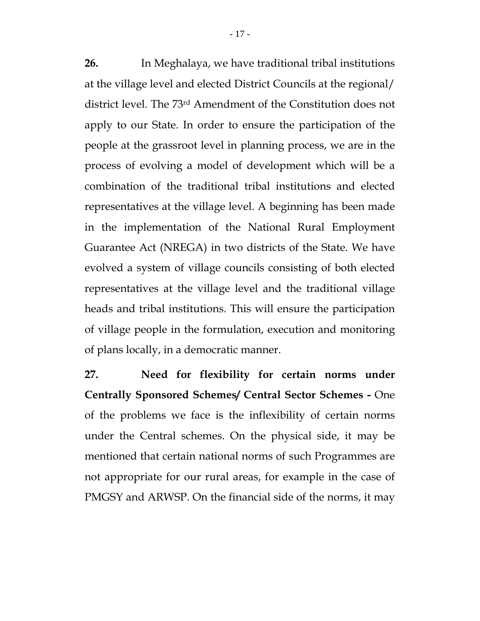**26.** In Meghalaya, we have traditional tribal institutions at the village level and elected District Councils at the regional/ district level. The 73rd Amendment of the Constitution does not apply to our State. In order to ensure the participation of the people at the grassroot level in planning process, we are in the process of evolving a model of development which will be a combination of the traditional tribal institutions and elected representatives at the village level. A beginning has been made in the implementation of the National Rural Employment Guarantee Act (NREGA) in two districts of the State. We have evolved a system of village councils consisting of both elected representatives at the village level and the traditional village heads and tribal institutions. This will ensure the participation of village people in the formulation, execution and monitoring of plans locally, in a democratic manner.

**27. Need for flexibility for certain norms under Centrally Sponsored Schemes/ Central Sector Schemes -** One of the problems we face is the inflexibility of certain norms under the Central schemes. On the physical side, it may be mentioned that certain national norms of such Programmes are not appropriate for our rural areas, for example in the case of PMGSY and ARWSP. On the financial side of the norms, it may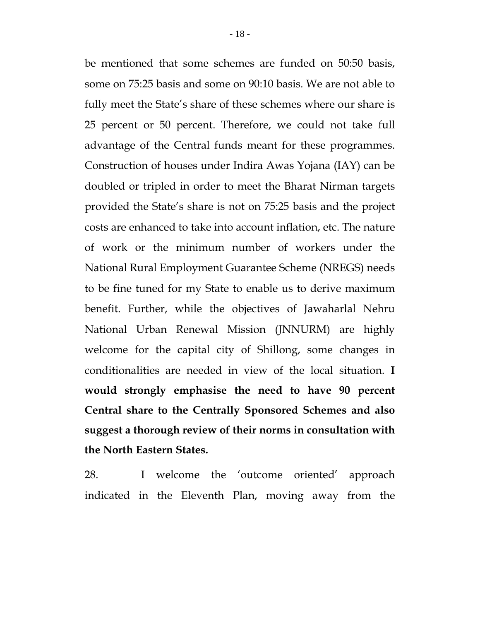be mentioned that some schemes are funded on 50:50 basis, some on 75:25 basis and some on 90:10 basis. We are not able to fully meet the State's share of these schemes where our share is 25 percent or 50 percent. Therefore, we could not take full advantage of the Central funds meant for these programmes. Construction of houses under Indira Awas Yojana (IAY) can be doubled or tripled in order to meet the Bharat Nirman targets provided the State's share is not on 75:25 basis and the project costs are enhanced to take into account inflation, etc. The nature of work or the minimum number of workers under the National Rural Employment Guarantee Scheme (NREGS) needs to be fine tuned for my State to enable us to derive maximum benefit. Further, while the objectives of Jawaharlal Nehru National Urban Renewal Mission (JNNURM) are highly welcome for the capital city of Shillong, some changes in conditionalities are needed in view of the local situation. **I would strongly emphasise the need to have 90 percent Central share to the Centrally Sponsored Schemes and also suggest a thorough review of their norms in consultation with the North Eastern States.** 

28. I welcome the 'outcome oriented' approach indicated in the Eleventh Plan, moving away from the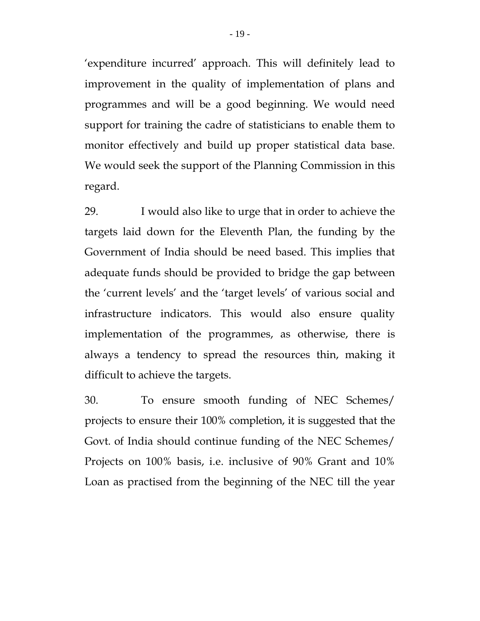'expenditure incurred' approach. This will definitely lead to improvement in the quality of implementation of plans and programmes and will be a good beginning. We would need support for training the cadre of statisticians to enable them to monitor effectively and build up proper statistical data base. We would seek the support of the Planning Commission in this regard.

29. I would also like to urge that in order to achieve the targets laid down for the Eleventh Plan, the funding by the Government of India should be need based. This implies that adequate funds should be provided to bridge the gap between the 'current levels' and the 'target levels' of various social and infrastructure indicators. This would also ensure quality implementation of the programmes, as otherwise, there is always a tendency to spread the resources thin, making it difficult to achieve the targets.

30. To ensure smooth funding of NEC Schemes/ projects to ensure their 100% completion, it is suggested that the Govt. of India should continue funding of the NEC Schemes/ Projects on 100% basis, i.e. inclusive of 90% Grant and 10% Loan as practised from the beginning of the NEC till the year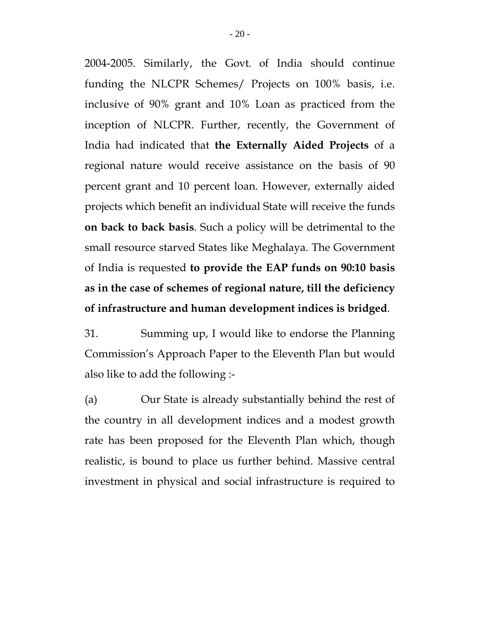2004-2005. Similarly, the Govt. of India should continue funding the NLCPR Schemes/ Projects on 100% basis, i.e. inclusive of 90% grant and 10% Loan as practiced from the inception of NLCPR. Further, recently, the Government of India had indicated that **the Externally Aided Projects** of a regional nature would receive assistance on the basis of 90 percent grant and 10 percent loan. However, externally aided projects which benefit an individual State will receive the funds **on back to back basis**. Such a policy will be detrimental to the small resource starved States like Meghalaya. The Government of India is requested **to provide the EAP funds on 90:10 basis as in the case of schemes of regional nature, till the deficiency of infrastructure and human development indices is bridged**.

31. Summing up, I would like to endorse the Planning Commission's Approach Paper to the Eleventh Plan but would also like to add the following :-

(a) Our State is already substantially behind the rest of the country in all development indices and a modest growth rate has been proposed for the Eleventh Plan which, though realistic, is bound to place us further behind. Massive central investment in physical and social infrastructure is required to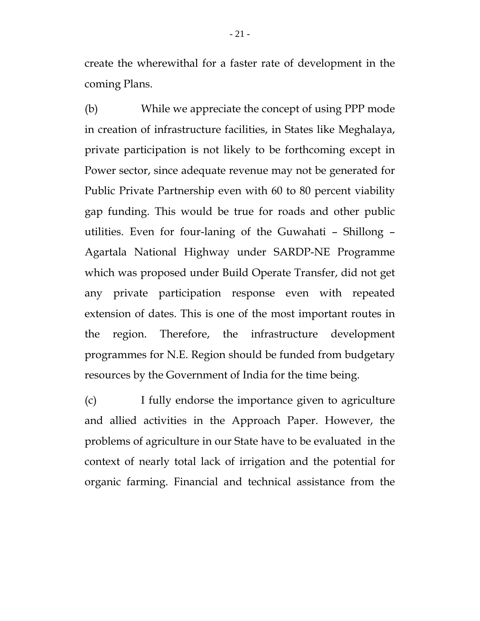create the wherewithal for a faster rate of development in the coming Plans.

(b) While we appreciate the concept of using PPP mode in creation of infrastructure facilities, in States like Meghalaya, private participation is not likely to be forthcoming except in Power sector, since adequate revenue may not be generated for Public Private Partnership even with 60 to 80 percent viability gap funding. This would be true for roads and other public utilities. Even for four-laning of the Guwahati – Shillong – Agartala National Highway under SARDP-NE Programme which was proposed under Build Operate Transfer, did not get any private participation response even with repeated extension of dates. This is one of the most important routes in the region. Therefore, the infrastructure development programmes for N.E. Region should be funded from budgetary resources by the Government of India for the time being.

(c) I fully endorse the importance given to agriculture and allied activities in the Approach Paper. However, the problems of agriculture in our State have to be evaluated in the context of nearly total lack of irrigation and the potential for organic farming. Financial and technical assistance from the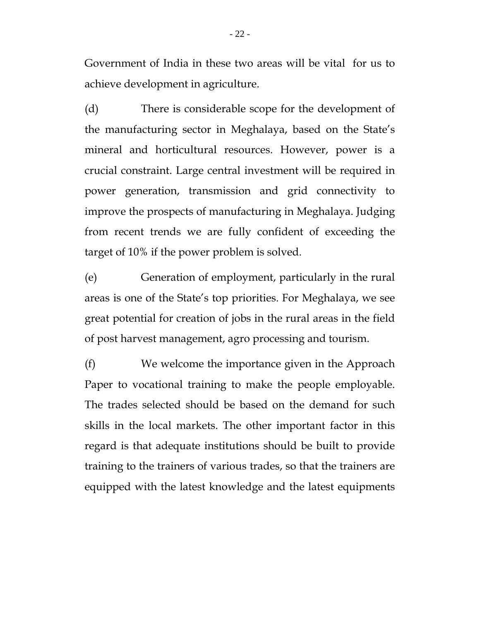Government of India in these two areas will be vital for us to achieve development in agriculture.

(d) There is considerable scope for the development of the manufacturing sector in Meghalaya, based on the State's mineral and horticultural resources. However, power is a crucial constraint. Large central investment will be required in power generation, transmission and grid connectivity to improve the prospects of manufacturing in Meghalaya. Judging from recent trends we are fully confident of exceeding the target of 10% if the power problem is solved.

(e) Generation of employment, particularly in the rural areas is one of the State's top priorities. For Meghalaya, we see great potential for creation of jobs in the rural areas in the field of post harvest management, agro processing and tourism.

(f) We welcome the importance given in the Approach Paper to vocational training to make the people employable. The trades selected should be based on the demand for such skills in the local markets. The other important factor in this regard is that adequate institutions should be built to provide training to the trainers of various trades, so that the trainers are equipped with the latest knowledge and the latest equipments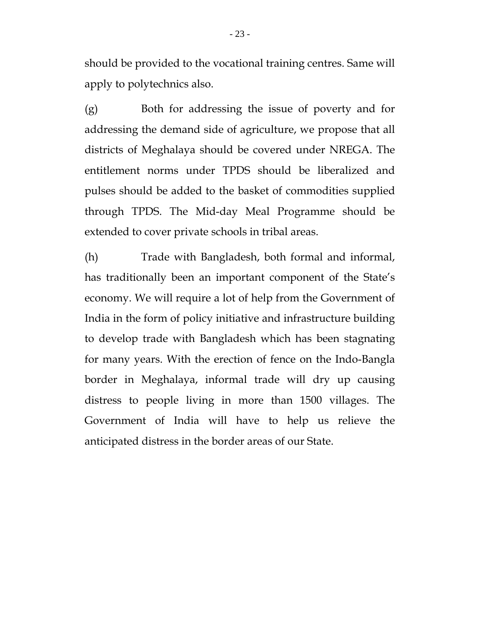should be provided to the vocational training centres. Same will apply to polytechnics also.

(g) Both for addressing the issue of poverty and for addressing the demand side of agriculture, we propose that all districts of Meghalaya should be covered under NREGA. The entitlement norms under TPDS should be liberalized and pulses should be added to the basket of commodities supplied through TPDS. The Mid-day Meal Programme should be extended to cover private schools in tribal areas.

(h) Trade with Bangladesh, both formal and informal, has traditionally been an important component of the State's economy. We will require a lot of help from the Government of India in the form of policy initiative and infrastructure building to develop trade with Bangladesh which has been stagnating for many years. With the erection of fence on the Indo-Bangla border in Meghalaya, informal trade will dry up causing distress to people living in more than 1500 villages. The Government of India will have to help us relieve the anticipated distress in the border areas of our State.